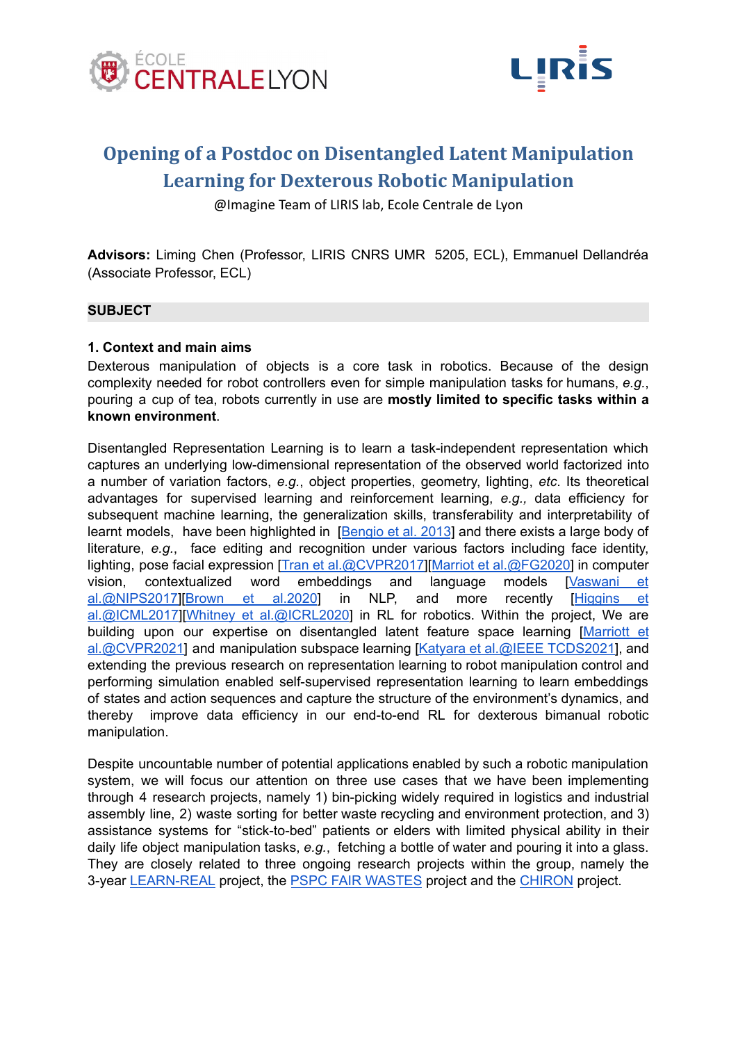



# **Opening of a Postdoc on Disentangled Latent Manipulation Learning for Dexterous Robotic Manipulation**

@Imagine Team of LIRIS lab, Ecole Centrale de Lyon

**Advisors:** Liming Chen (Professor, LIRIS CNRS UMR 5205, ECL), Emmanuel Dellandréa (Associate Professor, ECL)

## **SUBJECT**

#### **1. Context and main aims**

Dexterous manipulation of objects is a core task in robotics. Because of the design complexity needed for robot controllers even for simple manipulation tasks for humans, *e.g.*, pouring a cup of tea, robots currently in use are **mostly limited to specific tasks within a known environment**.

Disentangled Representation Learning is to learn a task-independent representation which captures an underlying low-dimensional representation of the observed world factorized into a number of variation factors, *e.g.*, object properties, geometry, lighting, *etc*. Its theoretical advantages for supervised learning and reinforcement learning, *e.g.,* data efficiency for subsequent machine learning, the generalization skills, transferability and interpretability of learnt models, have been highlighted in [[Bengio](https://doi.org/10.1109/TPAMI.2013.50) et al. 2013] and there exists a large body of literature, *e.g.*, face editing and recognition under various factors including face identity, lighting, pose facial expression [Tran et [al.@CVPR2017\]](https://openaccess.thecvf.com/content_cvpr_2017/papers/Tran_Disentangled_Representation_Learning_CVPR_2017_paper.pdf)[Marriot et [al.@FG2020\]](https://www.computer.org/csdl/proceedings-article/fg/2020/307900a283/1kecI6Mh9Sg) in computer vision, contextualized word embeddings and language models [[Vaswani](https://papers.nips.cc/paper/2017/file/3f5ee243547dee91fbd053c1c4a845aa-Paper.pdf) et [al.@NIPS2017\]](https://papers.nips.cc/paper/2017/file/3f5ee243547dee91fbd053c1c4a845aa-Paper.pdf)[Brown et [al.2020](https://arxiv.org/abs/2005.14165)] in NLP, and more recently [[Higgins](http://proceedings.mlr.press/v70/higgins17a.html) et [al.@ICML2017](http://proceedings.mlr.press/v70/higgins17a.html)][Whitney et [al.@ICRL2020](https://arxiv.org/abs/1908.09357)] in RL for robotics. Within the project, We are building upon our expertise on disentangled latent feature space learning [\[Marriott](https://arxiv.org/pdf/2012.10545.pdf) et [al.@CVPR2021\]](https://arxiv.org/pdf/2012.10545.pdf) and manipulation subspace learning [Katyara et al.@IEEE [TCDS2021\]](https://arxiv.org/abs/2008.11574), and extending the previous research on representation learning to robot manipulation control and performing simulation enabled self-supervised representation learning to learn embeddings of states and action sequences and capture the structure of the environment's dynamics, and thereby improve data efficiency in our end-to-end RL for dexterous bimanual robotic manipulation.

Despite uncountable number of potential applications enabled by such a robotic manipulation system, we will focus our attention on three use cases that we have been implementing through 4 research projects, namely 1) bin-picking widely required in logistics and industrial assembly line, 2) waste sorting for better waste recycling and environment protection, and 3) assistance systems for "stick-to-bed" patients or elders with limited physical ability in their daily life object manipulation tasks, *e.g.*, fetching a bottle of water and pouring it into a glass. They are closely related to three ongoing research projects within the group, namely the 3-year [LEARN-REAL](https://learn-real.eu) project, the PSPC FAIR [WASTES](https://www.bpifrance.fr/content/download/125755/1005328/version/1/file/laur%C3%A9ats%20PSPC%20r%C3%A9gions%20V4.pdf) project and the [CHIRON](https://docs.google.com/presentation/d/1Knf8tuHwX0bvRspd2WiUIG3LwQN54dyLafKra9OCCnA/edit?usp=sharing) project.